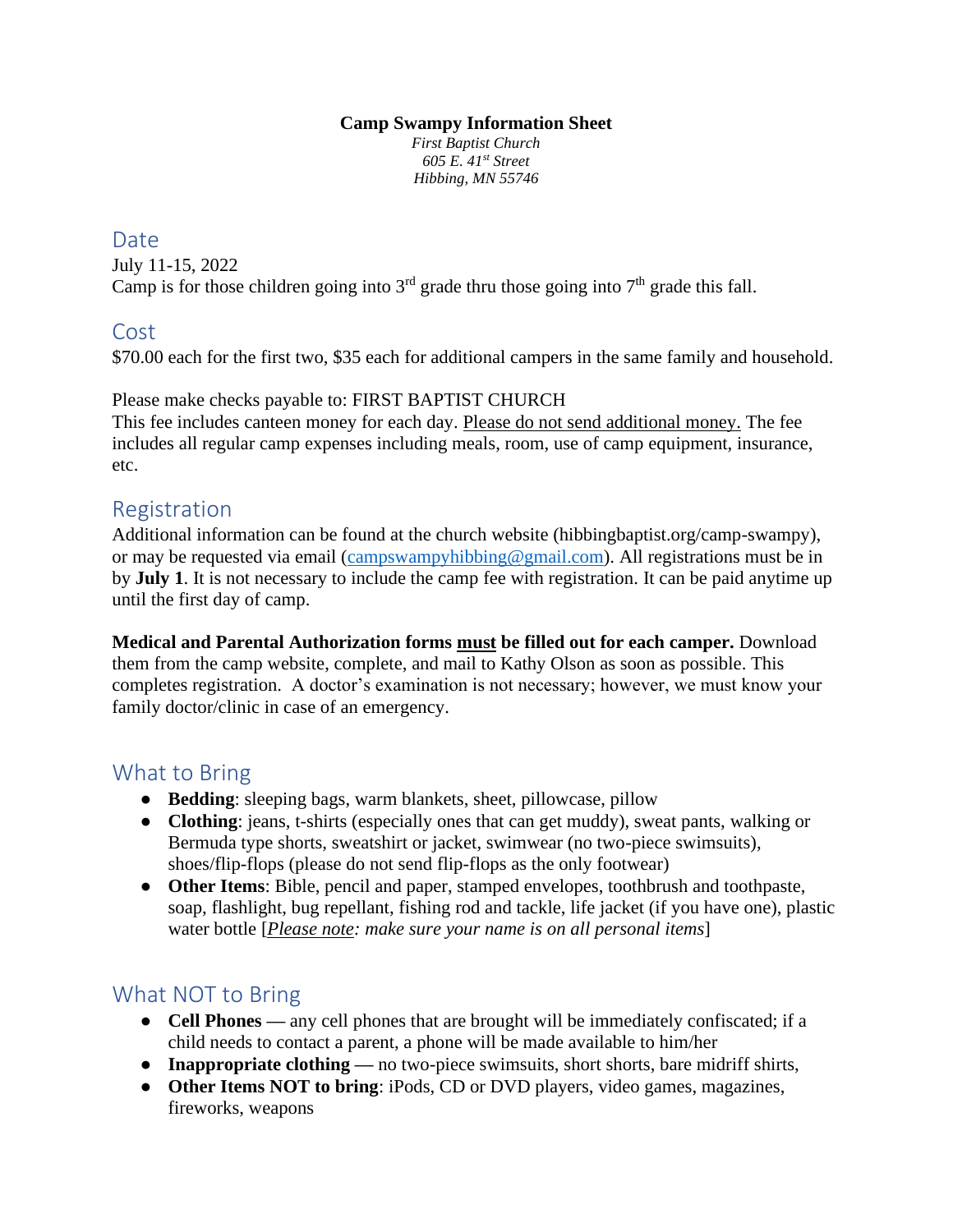#### **Camp Swampy Information Sheet**

*First Baptist Church 605 E. 41st Street Hibbing, MN 55746*

#### Date

July 11-15, 2022 Camp is for those children going into  $3<sup>rd</sup>$  grade thru those going into  $7<sup>th</sup>$  grade this fall.

#### Cost

\$70.00 each for the first two, \$35 each for additional campers in the same family and household.

#### Please make checks payable to: FIRST BAPTIST CHURCH

This fee includes canteen money for each day. Please do not send additional money. The fee includes all regular camp expenses including meals, room, use of camp equipment, insurance, etc.

# Registration

Additional information can be found at the church website (hibbingbaptist.org/camp-swampy), or may be requested via email [\(campswampyhibbing@gmail.com\)](mailto:campswampyhibbing@gmail.com). All registrations must be in by **July 1**. It is not necessary to include the camp fee with registration. It can be paid anytime up until the first day of camp.

**Medical and Parental Authorization forms must be filled out for each camper.** Download them from the camp website, complete, and mail to Kathy Olson as soon as possible. This completes registration. A doctor's examination is not necessary; however, we must know your family doctor/clinic in case of an emergency.

# What to Bring

- **Bedding**: sleeping bags, warm blankets, sheet, pillowcase, pillow
- **Clothing**: jeans, t-shirts (especially ones that can get muddy), sweat pants, walking or Bermuda type shorts, sweatshirt or jacket, swimwear (no two-piece swimsuits), shoes/flip-flops (please do not send flip-flops as the only footwear)
- **Other Items**: Bible, pencil and paper, stamped envelopes, toothbrush and toothpaste, soap, flashlight, bug repellant, fishing rod and tackle, life jacket (if you have one), plastic water bottle [*Please note: make sure your name is on all personal items*]

# What NOT to Bring

- **Cell Phones** any cell phones that are brought will be immediately confiscated; if a child needs to contact a parent, a phone will be made available to him/her
- **Inappropriate clothing** no two-piece swimsuits, short shorts, bare midriff shirts,
- **Other Items NOT to bring**: iPods, CD or DVD players, video games, magazines, fireworks, weapons